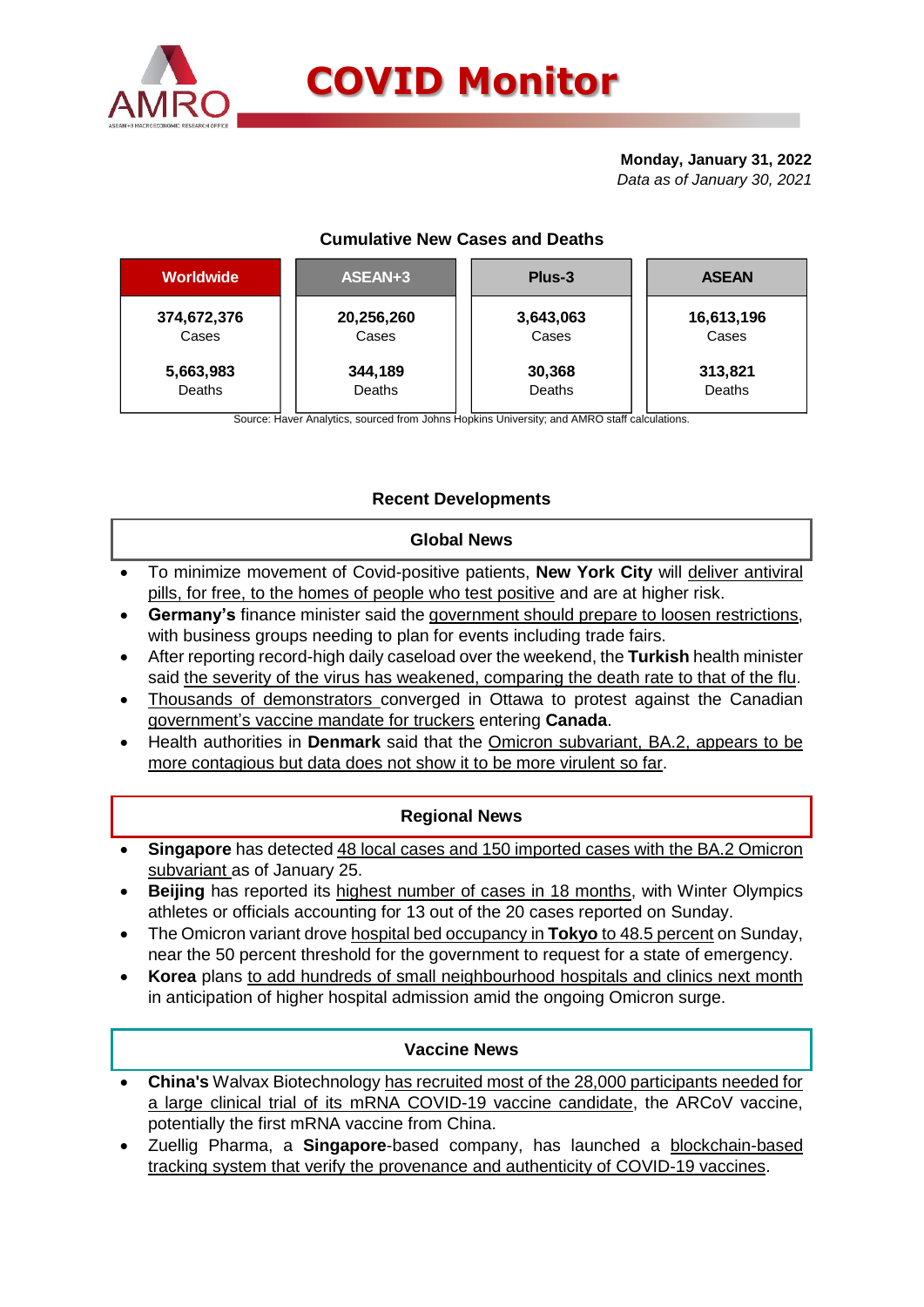

#### **Monday, January 31, 2022** *Data as of January 30, 2021*

# **Cumulative New Cases and Deaths**

| <b>Worldwide</b> | ASEAN+3       | Plus-3    | <b>ASEAN</b> |  |  |
|------------------|---------------|-----------|--------------|--|--|
| 374,672,376      | 20,256,260    | 3,643,063 | 16,613,196   |  |  |
| Cases            | Cases         | Cases     | Cases        |  |  |
| 5,663,983        | 344,189       | 30,368    | 313,821      |  |  |
| Deaths           | <b>Deaths</b> | Deaths    | Deaths       |  |  |

Source: Haver Analytics, sourced from Johns Hopkins University; and AMRO staff calculations.

# **Recent Developments**

### **Global News**

- To minimize movement of Covid-positive patients, **New York City** will deliver antiviral pills, for free, to the homes of people who test positive and are at higher risk.
- **Germany's** finance minister said the government should prepare to loosen restrictions, with business groups needing to plan for events including trade fairs.
- After reporting record-high daily caseload over the weekend, the **Turkish** health minister said the severity of the virus has weakened, comparing the death rate to that of the flu.
- Thousands of demonstrators converged in Ottawa to protest against the Canadian government's vaccine mandate for truckers entering **Canada**.
- Health authorities in **Denmark** said that the Omicron subvariant, BA.2, appears to be more contagious but data does not show it to be more virulent so far.

### **Regional News**

- **Singapore** has detected 48 local cases and 150 imported cases with the BA.2 Omicron subvariant as of January 25.
- **Beijing** has reported its highest number of cases in 18 months, with Winter Olympics athletes or officials accounting for 13 out of the 20 cases reported on Sunday.
- The Omicron variant drove hospital bed occupancy in **Tokyo** to 48.5 percent on Sunday, near the 50 percent threshold for the government to request for a state of emergency.
- **Korea** plans to add hundreds of small neighbourhood hospitals and clinics next month in anticipation of higher hospital admission amid the ongoing Omicron surge.

### **Vaccine News**

- **China's** Walvax Biotechnology has recruited most of the 28,000 participants needed for a large clinical trial of its mRNA COVID-19 vaccine candidate, the ARCoV vaccine, potentially the first mRNA vaccine from China.
- Zuellig Pharma, a **Singapore**-based company, has launched a blockchain-based tracking system that verify the provenance and authenticity of COVID-19 vaccines.